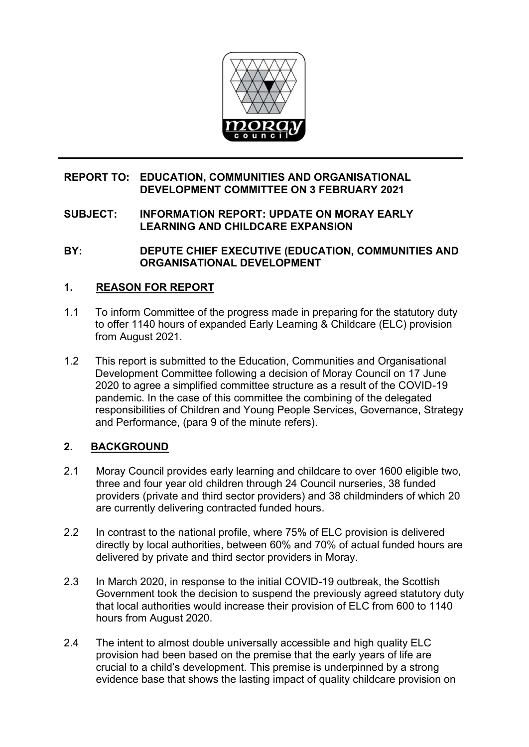

# **REPORT TO: EDUCATION, COMMUNITIES AND ORGANISATIONAL DEVELOPMENT COMMITTEE ON 3 FEBRUARY 2021**

# **SUBJECT: INFORMATION REPORT: UPDATE ON MORAY EARLY LEARNING AND CHILDCARE EXPANSION**

**BY: DEPUTE CHIEF EXECUTIVE (EDUCATION, COMMUNITIES AND ORGANISATIONAL DEVELOPMENT** 

# **1. REASON FOR REPORT**

- 1.1 To inform Committee of the progress made in preparing for the statutory duty to offer 1140 hours of expanded Early Learning & Childcare (ELC) provision from August 2021.
- 1.2 This report is submitted to the Education, Communities and Organisational Development Committee following a decision of Moray Council on 17 June 2020 to agree a simplified committee structure as a result of the COVID-19 pandemic. In the case of this committee the combining of the delegated responsibilities of Children and Young People Services, Governance, Strategy and Performance, (para 9 of the minute refers).

# **2. BACKGROUND**

- 2.1 Moray Council provides early learning and childcare to over 1600 eligible two, three and four year old children through 24 Council nurseries, 38 funded providers (private and third sector providers) and 38 childminders of which 20 are currently delivering contracted funded hours.
- 2.2 In contrast to the national profile, where 75% of ELC provision is delivered directly by local authorities, between 60% and 70% of actual funded hours are delivered by private and third sector providers in Moray.
- 2.3 In March 2020, in response to the initial COVID-19 outbreak, the Scottish Government took the decision to suspend the previously agreed statutory duty that local authorities would increase their provision of ELC from 600 to 1140 hours from August 2020.
- 2.4 The intent to almost double universally accessible and high quality ELC provision had been based on the premise that the early years of life are crucial to a child's development. This premise is underpinned by a strong evidence base that shows the lasting impact of quality childcare provision on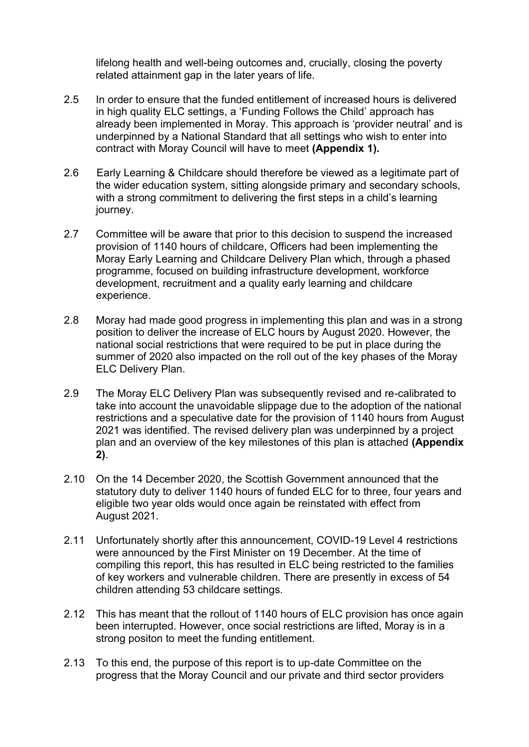lifelong health and well-being outcomes and, crucially, closing the poverty related attainment gap in the later years of life.

- 2.5 In order to ensure that the funded entitlement of increased hours is delivered in high quality ELC settings, a 'Funding Follows the Child' approach has already been implemented in Moray. This approach is 'provider neutral' and is underpinned by a National Standard that all settings who wish to enter into contract with Moray Council will have to meet **(Appendix 1).**
- 2.6 Early Learning & Childcare should therefore be viewed as a legitimate part of the wider education system, sitting alongside primary and secondary schools, with a strong commitment to delivering the first steps in a child's learning journey.
- 2.7 Committee will be aware that prior to this decision to suspend the increased provision of 1140 hours of childcare, Officers had been implementing the Moray Early Learning and Childcare Delivery Plan which, through a phased programme, focused on building infrastructure development, workforce development, recruitment and a quality early learning and childcare experience.
- 2.8 Moray had made good progress in implementing this plan and was in a strong position to deliver the increase of ELC hours by August 2020. However, the national social restrictions that were required to be put in place during the summer of 2020 also impacted on the roll out of the key phases of the Moray ELC Delivery Plan.
- 2.9 The Moray ELC Delivery Plan was subsequently revised and re-calibrated to take into account the unavoidable slippage due to the adoption of the national restrictions and a speculative date for the provision of 1140 hours from August 2021 was identified. The revised delivery plan was underpinned by a project plan and an overview of the key milestones of this plan is attached **(Appendix 2)**.
- 2.10 On the 14 December 2020, the Scottish Government announced that the statutory duty to deliver 1140 hours of funded ELC for to three, four years and eligible two year olds would once again be reinstated with effect from August 2021.
- 2.11 Unfortunately shortly after this announcement, COVID-19 Level 4 restrictions were announced by the First Minister on 19 December. At the time of compiling this report, this has resulted in ELC being restricted to the families of key workers and vulnerable children. There are presently in excess of 54 children attending 53 childcare settings.
- 2.12 This has meant that the rollout of 1140 hours of ELC provision has once again been interrupted. However, once social restrictions are lifted, Moray is in a strong positon to meet the funding entitlement.
- 2.13 To this end, the purpose of this report is to up-date Committee on the progress that the Moray Council and our private and third sector providers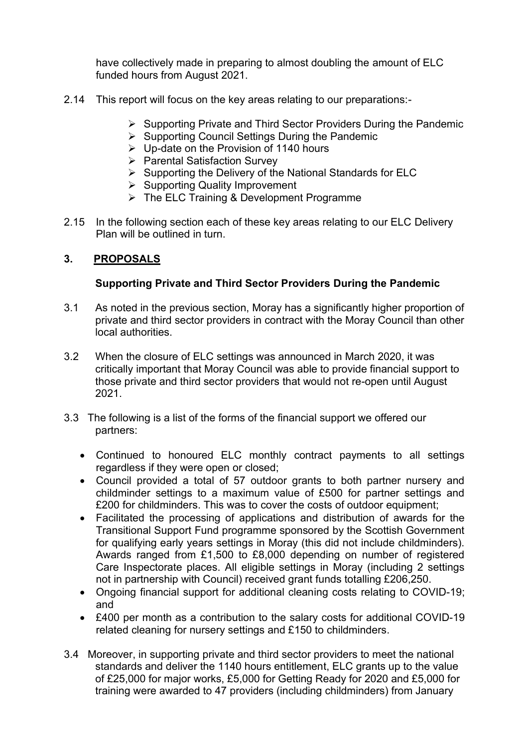have collectively made in preparing to almost doubling the amount of ELC funded hours from August 2021.

- 2.14 This report will focus on the key areas relating to our preparations:-
	- ➢ Supporting Private and Third Sector Providers During the Pandemic
	- ➢ Supporting Council Settings During the Pandemic
	- ➢ Up-date on the Provision of 1140 hours
	- ➢ Parental Satisfaction Survey
	- ➢ Supporting the Delivery of the National Standards for ELC
	- ➢ Supporting Quality Improvement
	- ➢ The ELC Training & Development Programme
- 2.15 In the following section each of these key areas relating to our ELC Delivery Plan will be outlined in turn.

# **3. PROPOSALS**

# **Supporting Private and Third Sector Providers During the Pandemic**

- 3.1 As noted in the previous section, Moray has a significantly higher proportion of private and third sector providers in contract with the Moray Council than other local authorities.
- 3.2 When the closure of ELC settings was announced in March 2020, it was critically important that Moray Council was able to provide financial support to those private and third sector providers that would not re-open until August 2021.
- 3.3 The following is a list of the forms of the financial support we offered our partners:
	- Continued to honoured ELC monthly contract payments to all settings regardless if they were open or closed;
	- Council provided a total of 57 outdoor grants to both partner nursery and childminder settings to a maximum value of £500 for partner settings and £200 for childminders. This was to cover the costs of outdoor equipment;
	- Facilitated the processing of applications and distribution of awards for the Transitional Support Fund programme sponsored by the Scottish Government for qualifying early years settings in Moray (this did not include childminders). Awards ranged from £1,500 to £8,000 depending on number of registered Care Inspectorate places. All eligible settings in Moray (including 2 settings not in partnership with Council) received grant funds totalling £206,250.
	- Ongoing financial support for additional cleaning costs relating to COVID-19; and
	- £400 per month as a contribution to the salary costs for additional COVID-19 related cleaning for nursery settings and £150 to childminders.
- 3.4 Moreover, in supporting private and third sector providers to meet the national standards and deliver the 1140 hours entitlement, ELC grants up to the value of £25,000 for major works, £5,000 for Getting Ready for 2020 and £5,000 for training were awarded to 47 providers (including childminders) from January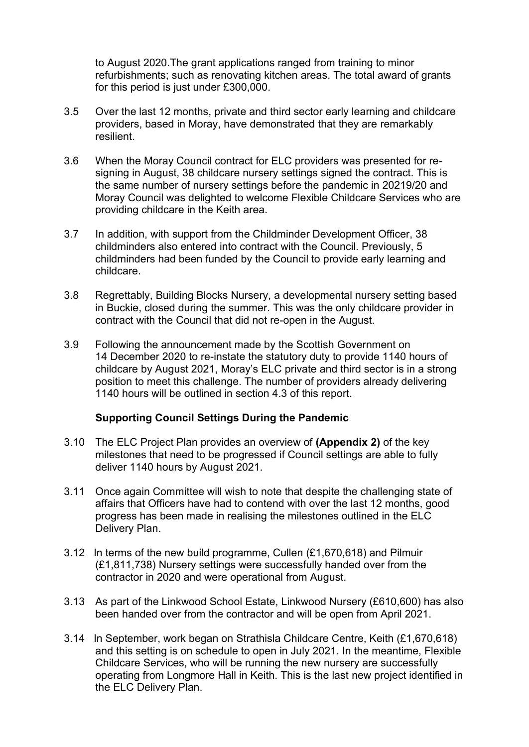to August 2020.The grant applications ranged from training to minor refurbishments; such as renovating kitchen areas. The total award of grants for this period is just under £300,000.

- 3.5 Over the last 12 months, private and third sector early learning and childcare providers, based in Moray, have demonstrated that they are remarkably resilient.
- 3.6 When the Moray Council contract for ELC providers was presented for resigning in August, 38 childcare nursery settings signed the contract. This is the same number of nursery settings before the pandemic in 20219/20 and Moray Council was delighted to welcome Flexible Childcare Services who are providing childcare in the Keith area.
- 3.7 In addition, with support from the Childminder Development Officer, 38 childminders also entered into contract with the Council. Previously, 5 childminders had been funded by the Council to provide early learning and childcare.
- 3.8 Regrettably, Building Blocks Nursery, a developmental nursery setting based in Buckie, closed during the summer. This was the only childcare provider in contract with the Council that did not re-open in the August.
- 3.9 Following the announcement made by the Scottish Government on 14 December 2020 to re-instate the statutory duty to provide 1140 hours of childcare by August 2021, Moray's ELC private and third sector is in a strong position to meet this challenge. The number of providers already delivering 1140 hours will be outlined in section 4.3 of this report.

## **Supporting Council Settings During the Pandemic**

- 3.10 The ELC Project Plan provides an overview of **(Appendix 2)** of the key milestones that need to be progressed if Council settings are able to fully deliver 1140 hours by August 2021.
- 3.11 Once again Committee will wish to note that despite the challenging state of affairs that Officers have had to contend with over the last 12 months, good progress has been made in realising the milestones outlined in the ELC Delivery Plan.
- 3.12 In terms of the new build programme, Cullen (£1,670,618) and Pilmuir (£1,811,738) Nursery settings were successfully handed over from the contractor in 2020 and were operational from August.
- 3.13 As part of the Linkwood School Estate, Linkwood Nursery (£610,600) has also been handed over from the contractor and will be open from April 2021.
- 3.14 In September, work began on Strathisla Childcare Centre, Keith (£1,670,618) and this setting is on schedule to open in July 2021. In the meantime, Flexible Childcare Services, who will be running the new nursery are successfully operating from Longmore Hall in Keith. This is the last new project identified in the ELC Delivery Plan.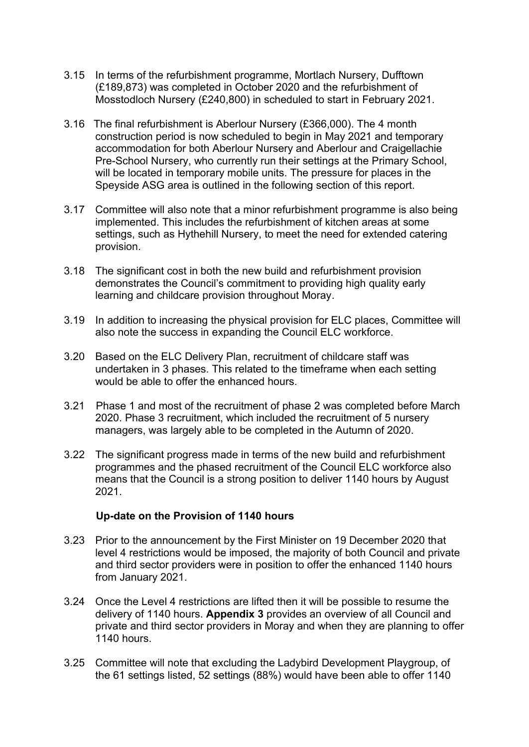- 3.15 In terms of the refurbishment programme, Mortlach Nursery, Dufftown (£189,873) was completed in October 2020 and the refurbishment of Mosstodloch Nursery (£240,800) in scheduled to start in February 2021.
- 3.16 The final refurbishment is Aberlour Nursery (£366,000). The 4 month construction period is now scheduled to begin in May 2021 and temporary accommodation for both Aberlour Nursery and Aberlour and Craigellachie Pre-School Nursery, who currently run their settings at the Primary School, will be located in temporary mobile units. The pressure for places in the Speyside ASG area is outlined in the following section of this report.
- 3.17 Committee will also note that a minor refurbishment programme is also being implemented. This includes the refurbishment of kitchen areas at some settings, such as Hythehill Nursery, to meet the need for extended catering provision.
- 3.18 The significant cost in both the new build and refurbishment provision demonstrates the Council's commitment to providing high quality early learning and childcare provision throughout Moray.
- 3.19 In addition to increasing the physical provision for ELC places, Committee will also note the success in expanding the Council ELC workforce.
- 3.20 Based on the ELC Delivery Plan, recruitment of childcare staff was undertaken in 3 phases. This related to the timeframe when each setting would be able to offer the enhanced hours.
- 3.21 Phase 1 and most of the recruitment of phase 2 was completed before March 2020. Phase 3 recruitment, which included the recruitment of 5 nursery managers, was largely able to be completed in the Autumn of 2020.
- 3.22 The significant progress made in terms of the new build and refurbishment programmes and the phased recruitment of the Council ELC workforce also means that the Council is a strong position to deliver 1140 hours by August 2021.

## **Up-date on the Provision of 1140 hours**

- 3.23 Prior to the announcement by the First Minister on 19 December 2020 that level 4 restrictions would be imposed, the majority of both Council and private and third sector providers were in position to offer the enhanced 1140 hours from January 2021.
- 3.24 Once the Level 4 restrictions are lifted then it will be possible to resume the delivery of 1140 hours. **Appendix 3** provides an overview of all Council and private and third sector providers in Moray and when they are planning to offer 1140 hours.
- 3.25 Committee will note that excluding the Ladybird Development Playgroup, of the 61 settings listed, 52 settings (88%) would have been able to offer 1140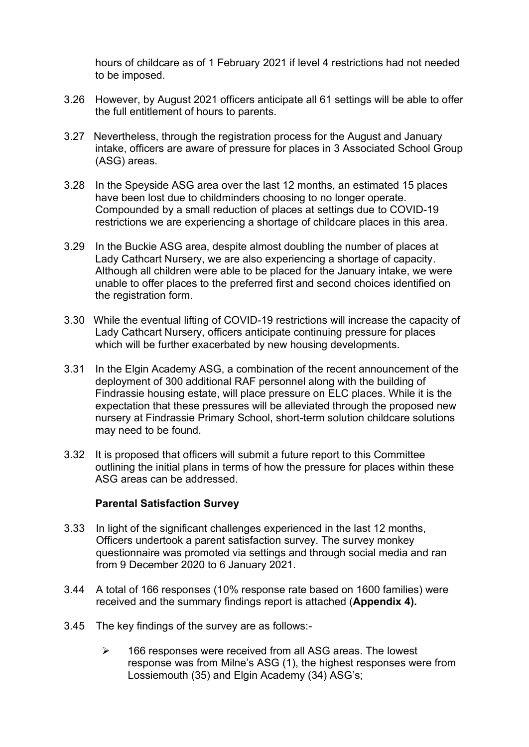hours of childcare as of 1 February 2021 if level 4 restrictions had not needed to be imposed.

- 3.26 However, by August 2021 officers anticipate all 61 settings will be able to offer the full entitlement of hours to parents.
- 3.27 Nevertheless, through the registration process for the August and January intake, officers are aware of pressure for places in 3 Associated School Group (ASG) areas.
- 3.28 In the Speyside ASG area over the last 12 months, an estimated 15 places have been lost due to childminders choosing to no longer operate. Compounded by a small reduction of places at settings due to COVID-19 restrictions we are experiencing a shortage of childcare places in this area.
- 3.29 In the Buckie ASG area, despite almost doubling the number of places at Lady Cathcart Nursery, we are also experiencing a shortage of capacity. Although all children were able to be placed for the January intake, we were unable to offer places to the preferred first and second choices identified on the registration form.
- 3.30 While the eventual lifting of COVID-19 restrictions will increase the capacity of Lady Cathcart Nursery, officers anticipate continuing pressure for places which will be further exacerbated by new housing developments.
- 3.31 In the Elgin Academy ASG, a combination of the recent announcement of the deployment of 300 additional RAF personnel along with the building of Findrassie housing estate, will place pressure on ELC places. While it is the expectation that these pressures will be alleviated through the proposed new nursery at Findrassie Primary School, short-term solution childcare solutions may need to be found.
- 3.32 It is proposed that officers will submit a future report to this Committee outlining the initial plans in terms of how the pressure for places within these ASG areas can be addressed.

## **Parental Satisfaction Survey**

- 3.33 In light of the significant challenges experienced in the last 12 months, Officers undertook a parent satisfaction survey. The survey monkey questionnaire was promoted via settings and through social media and ran from 9 December 2020 to 6 January 2021.
- 3.44 A total of 166 responses (10% response rate based on 1600 families) were received and the summary findings report is attached (**Appendix 4).**
- 3.45 The key findings of the survey are as follows:-
	- ➢ 166 responses were received from all ASG areas. The lowest response was from Milne's ASG (1), the highest responses were from Lossiemouth (35) and Elgin Academy (34) ASG's;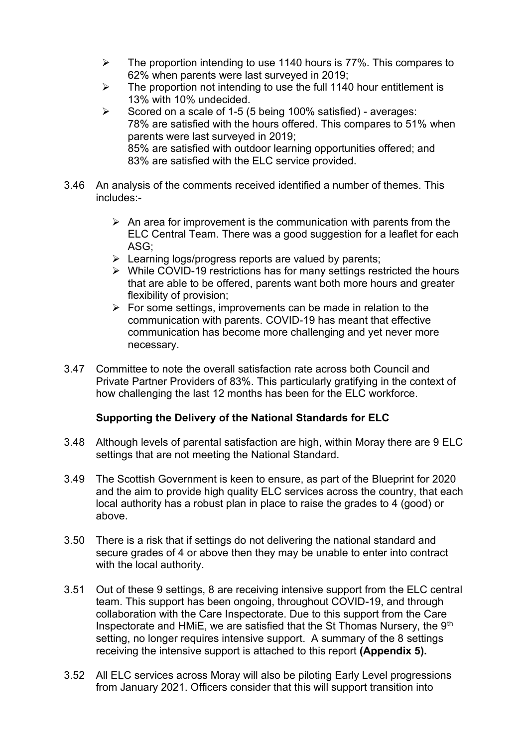- ➢ The proportion intending to use 1140 hours is 77%. This compares to 62% when parents were last surveyed in 2019;
- $\triangleright$  The proportion not intending to use the full 1140 hour entitlement is 13% with 10% undecided.
- ➢ Scored on a scale of 1-5 (5 being 100% satisfied) averages: 78% are satisfied with the hours offered. This compares to 51% when parents were last surveyed in 2019; 85% are satisfied with outdoor learning opportunities offered; and 83% are satisfied with the ELC service provided.
- 3.46 An analysis of the comments received identified a number of themes. This includes:-
	- $\triangleright$  An area for improvement is the communication with parents from the ELC Central Team. There was a good suggestion for a leaflet for each ASG;
	- ➢ Learning logs/progress reports are valued by parents;
	- ➢ While COVID-19 restrictions has for many settings restricted the hours that are able to be offered, parents want both more hours and greater flexibility of provision;
	- $\triangleright$  For some settings, improvements can be made in relation to the communication with parents. COVID-19 has meant that effective communication has become more challenging and yet never more necessary.
- 3.47 Committee to note the overall satisfaction rate across both Council and Private Partner Providers of 83%. This particularly gratifying in the context of how challenging the last 12 months has been for the ELC workforce.

## **Supporting the Delivery of the National Standards for ELC**

- 3.48 Although levels of parental satisfaction are high, within Moray there are 9 ELC settings that are not meeting the [National Standard.](https://www.gov.scot/publications/funding-follows-child-national-standard-early-learning-childcare-providers-operating-guidance/)
- 3.49 The Scottish Government is keen to ensure, as part of the Blueprint for 2020 and the aim to provide high quality ELC services across the country, that each local authority has a robust plan in place to raise the grades to 4 (good) or above.
- 3.50 There is a risk that if settings do not delivering the national standard and secure grades of 4 or above then they may be unable to enter into contract with the local authority.
- 3.51 Out of these 9 settings, 8 are receiving intensive support from the ELC central team. This support has been ongoing, throughout COVID-19, and through collaboration with the Care Inspectorate. Due to this support from the Care Inspectorate and HMiE, we are satisfied that the St Thomas Nursery, the 9<sup>th</sup> setting, no longer requires intensive support. A summary of the 8 settings receiving the intensive support is attached to this report **(Appendix 5).**
- 3.52 All ELC services across Moray will also be piloting Early Level progressions from January 2021. Officers consider that this will support transition into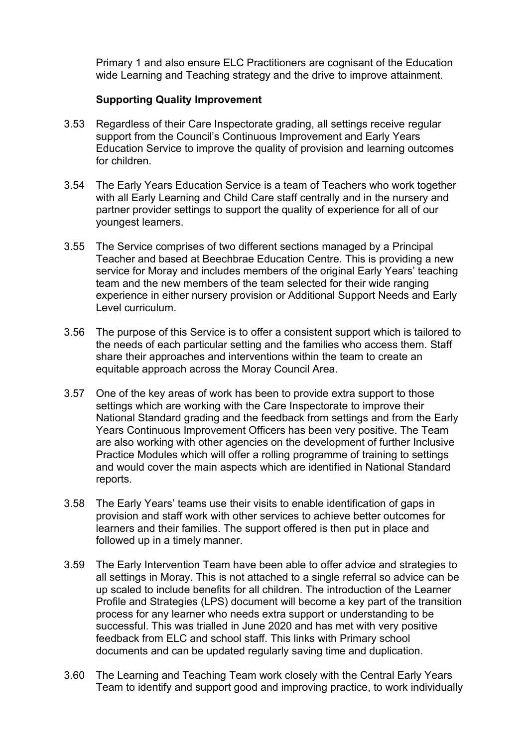Primary 1 and also ensure ELC Practitioners are cognisant of the Education wide Learning and Teaching strategy and the drive to improve attainment.

## **Supporting Quality Improvement**

- 3.53 Regardless of their Care Inspectorate grading, all settings receive regular support from the Council's Continuous Improvement and Early Years Education Service to improve the quality of provision and learning outcomes for children.
- 3.54 The Early Years Education Service is a team of Teachers who work together with all Early Learning and Child Care staff centrally and in the nursery and partner provider settings to support the quality of experience for all of our youngest learners.
- 3.55 The Service comprises of two different sections managed by a Principal Teacher and based at Beechbrae Education Centre. This is providing a new service for Moray and includes members of the original Early Years' teaching team and the new members of the team selected for their wide ranging experience in either nursery provision or Additional Support Needs and Early Level curriculum.
- 3.56 The purpose of this Service is to offer a consistent support which is tailored to the needs of each particular setting and the families who access them. Staff share their approaches and interventions within the team to create an equitable approach across the Moray Council Area.
- 3.57 One of the key areas of work has been to provide extra support to those settings which are working with the Care Inspectorate to improve their National Standard grading and the feedback from settings and from the Early Years Continuous Improvement Officers has been very positive. The Team are also working with other agencies on the development of further Inclusive Practice Modules which will offer a rolling programme of training to settings and would cover the main aspects which are identified in National Standard reports.
- 3.58 The Early Years' teams use their visits to enable identification of gaps in provision and staff work with other services to achieve better outcomes for learners and their families. The support offered is then put in place and followed up in a timely manner.
- 3.59 The Early Intervention Team have been able to offer advice and strategies to all settings in Moray. This is not attached to a single referral so advice can be up scaled to include benefits for all children. The introduction of the Learner Profile and Strategies (LPS) document will become a key part of the transition process for any learner who needs extra support or understanding to be successful. This was trialled in June 2020 and has met with very positive feedback from ELC and school staff. This links with Primary school documents and can be updated regularly saving time and duplication.
- 3.60 The Learning and Teaching Team work closely with the Central Early Years Team to identify and support good and improving practice, to work individually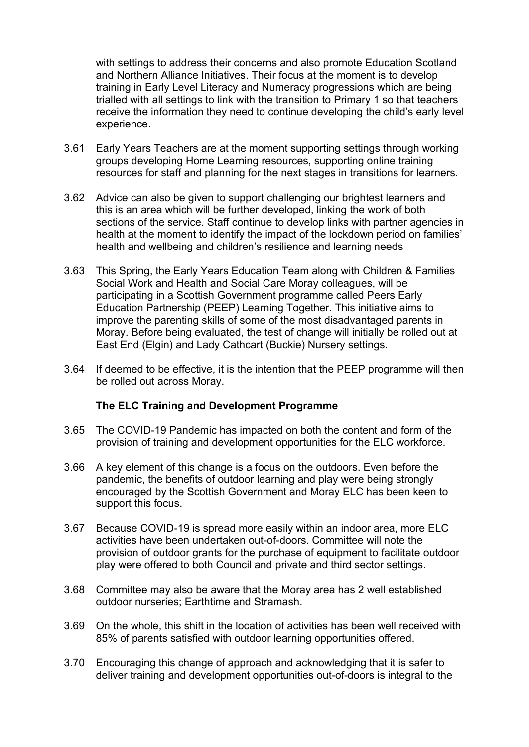with settings to address their concerns and also promote Education Scotland and Northern Alliance Initiatives. Their focus at the moment is to develop training in Early Level Literacy and Numeracy progressions which are being trialled with all settings to link with the transition to Primary 1 so that teachers receive the information they need to continue developing the child's early level experience.

- 3.61 Early Years Teachers are at the moment supporting settings through working groups developing Home Learning resources, supporting online training resources for staff and planning for the next stages in transitions for learners.
- 3.62 Advice can also be given to support challenging our brightest learners and this is an area which will be further developed, linking the work of both sections of the service. Staff continue to develop links with partner agencies in health at the moment to identify the impact of the lockdown period on families' health and wellbeing and children's resilience and learning needs
- 3.63 This Spring, the Early Years Education Team along with Children & Families Social Work and Health and Social Care Moray colleagues, will be participating in a Scottish Government programme called Peers Early Education Partnership (PEEP) Learning Together. This initiative aims to improve the parenting skills of some of the most disadvantaged parents in Moray. Before being evaluated, the test of change will initially be rolled out at East End (Elgin) and Lady Cathcart (Buckie) Nursery settings.
- 3.64 If deemed to be effective, it is the intention that the PEEP programme will then be rolled out across Moray.

## **The ELC Training and Development Programme**

- 3.65 The COVID-19 Pandemic has impacted on both the content and form of the provision of training and development opportunities for the ELC workforce.
- 3.66 A key element of this change is a focus on the outdoors. Even before the pandemic, the benefits of outdoor learning and play were being strongly encouraged by the Scottish Government and Moray ELC has been keen to support this focus.
- 3.67 Because COVID-19 is spread more easily within an indoor area, more ELC activities have been undertaken out-of-doors. Committee will note the provision of outdoor grants for the purchase of equipment to facilitate outdoor play were offered to both Council and private and third sector settings.
- 3.68 Committee may also be aware that the Moray area has 2 well established outdoor nurseries; Earthtime and Stramash.
- 3.69 On the whole, this shift in the location of activities has been well received with 85% of parents satisfied with outdoor learning opportunities offered.
- 3.70 Encouraging this change of approach and acknowledging that it is safer to deliver training and development opportunities out-of-doors is integral to the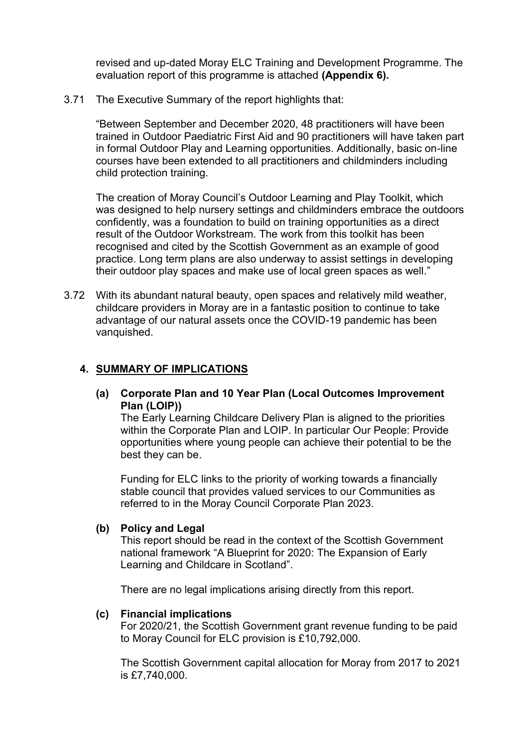revised and up-dated Moray ELC Training and Development Programme. The evaluation report of this programme is attached **(Appendix 6).**

3.71 The Executive Summary of the report highlights that:

"Between September and December 2020, 48 practitioners will have been trained in Outdoor Paediatric First Aid and 90 practitioners will have taken part in formal Outdoor Play and Learning opportunities. Additionally, basic on-line courses have been extended to all practitioners and childminders including child protection training.

The creation of Moray Council's Outdoor Learning and Play Toolkit, which was designed to help nursery settings and childminders embrace the outdoors confidently, was a foundation to build on training opportunities as a direct result of the Outdoor Workstream. The work from this toolkit has been recognised and cited by the Scottish Government as an example of good practice. Long term plans are also underway to assist settings in developing their outdoor play spaces and make use of local green spaces as well."

3.72 With its abundant natural beauty, open spaces and relatively mild weather, childcare providers in Moray are in a fantastic position to continue to take advantage of our natural assets once the COVID-19 pandemic has been vanquished.

#### **4. SUMMARY OF IMPLICATIONS**

**(a) Corporate Plan and 10 Year Plan (Local Outcomes Improvement Plan (LOIP))** 

The Early Learning Childcare Delivery Plan is aligned to the priorities within the Corporate Plan and LOIP. In particular Our People: Provide opportunities where young people can achieve their potential to be the best they can be.

Funding for ELC links to the priority of working towards a financially stable council that provides valued services to our Communities as referred to in the Moray Council Corporate Plan 2023.

#### **(b) Policy and Legal**

This report should be read in the context of the Scottish Government national framework "A Blueprint for 2020: The Expansion of Early Learning and Childcare in Scotland".

There are no legal implications arising directly from this report.

#### **(c) Financial implications**

For 2020/21, the Scottish Government grant revenue funding to be paid to Moray Council for ELC provision is £10,792,000.

The Scottish Government capital allocation for Moray from 2017 to 2021 is £7,740,000.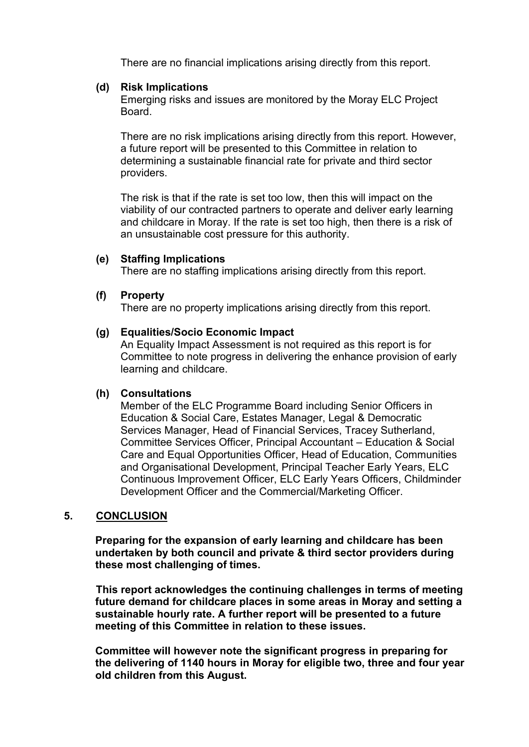There are no financial implications arising directly from this report.

#### **(d) Risk Implications**

Emerging risks and issues are monitored by the Moray ELC Project Board.

There are no risk implications arising directly from this report. However, a future report will be presented to this Committee in relation to determining a sustainable financial rate for private and third sector providers.

The risk is that if the rate is set too low, then this will impact on the viability of our contracted partners to operate and deliver early learning and childcare in Moray. If the rate is set too high, then there is a risk of an unsustainable cost pressure for this authority.

#### **(e) Staffing Implications**

There are no staffing implications arising directly from this report.

#### **(f) Property**

There are no property implications arising directly from this report.

#### **(g) Equalities/Socio Economic Impact**

An Equality Impact Assessment is not required as this report is for Committee to note progress in delivering the enhance provision of early learning and childcare.

#### **(h) Consultations**

Member of the ELC Programme Board including Senior Officers in Education & Social Care, Estates Manager, Legal & Democratic Services Manager, Head of Financial Services, Tracey Sutherland, Committee Services Officer, Principal Accountant – Education & Social Care and Equal Opportunities Officer, Head of Education, Communities and Organisational Development, Principal Teacher Early Years, ELC Continuous Improvement Officer, ELC Early Years Officers, Childminder Development Officer and the Commercial/Marketing Officer.

## **5. CONCLUSION**

**Preparing for the expansion of early learning and childcare has been undertaken by both council and private & third sector providers during these most challenging of times.** 

 **This report acknowledges the continuing challenges in terms of meeting future demand for childcare places in some areas in Moray and setting a sustainable hourly rate. A further report will be presented to a future meeting of this Committee in relation to these issues.** 

**Committee will however note the significant progress in preparing for the delivering of 1140 hours in Moray for eligible two, three and four year old children from this August.**